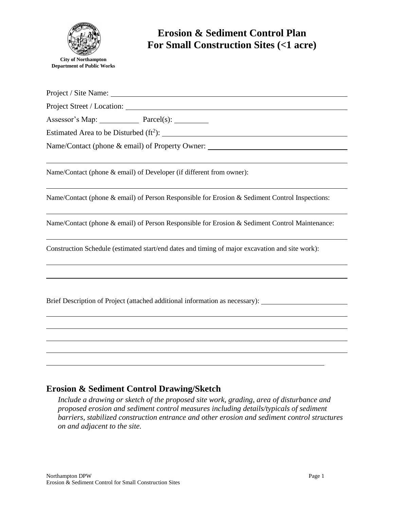

Project / Site Name: University of the Name of the Name of the Name of the Name of the Name of the Name of the Name of the Name of the Name of the Name of the Name of the Name of the Name of the Name of the Name of the Nam

Project Street / Location:

Assessor's Map: Parcel(s):

Estimated Area to be Disturbed  $(ft^2)$ :

Name/Contact (phone & email) of Property Owner:

Name/Contact (phone & email) of Developer (if different from owner):

Name/Contact (phone & email) of Person Responsible for Erosion & Sediment Control Inspections:

Name/Contact (phone & email) of Person Responsible for Erosion & Sediment Control Maintenance:

Construction Schedule (estimated start/end dates and timing of major excavation and site work):

Brief Description of Project (attached additional information as necessary):

## **Erosion & Sediment Control Drawing/Sketch**

*Include a drawing or sketch of the proposed site work, grading, area of disturbance and proposed erosion and sediment control measures including details/typicals of sediment barriers, stabilized construction entrance and other erosion and sediment control structures on and adjacent to the site.*